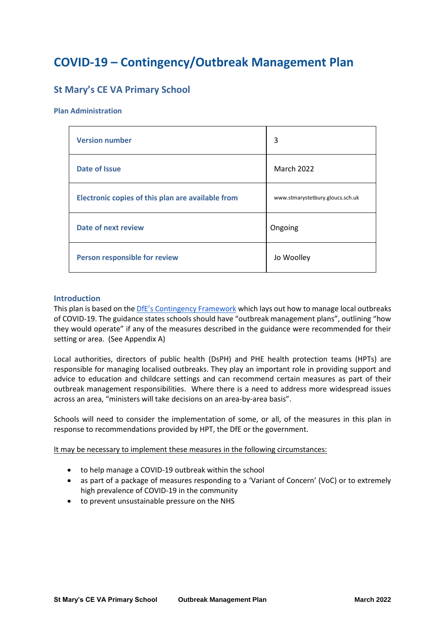# **COVID-19 – Contingency/Outbreak Management Plan**

## **St Mary's CE VA Primary School**

#### **Plan Administration**

| <b>Version number</b>                             | 3                                |
|---------------------------------------------------|----------------------------------|
| Date of Issue                                     | <b>March 2022</b>                |
| Electronic copies of this plan are available from | www.stmarystetbury.gloucs.sch.uk |
| <b>Date of next review</b>                        | Ongoing                          |
| Person responsible for review                     | Jo Woolley                       |

#### **Introduction**

This plan is based on the [DfE's Contingency Framework](https://www.gov.uk/government/publications/coronavirus-covid-19-local-restrictions-in-education-and-childcare-settings/contingency-framework-education-and-childcare-settings) which lays out how to manage local outbreaks of COVID-19. The guidance states schools should have "outbreak management plans", outlining "how they would operate" if any of the measures described in the guidance were recommended for their setting or area. (See Appendix A)

Local authorities, directors of public health (DsPH) and PHE health protection teams (HPTs) are responsible for managing localised outbreaks. They play an important role in providing support and advice to education and childcare settings and can recommend certain measures as part of their outbreak management responsibilities. Where there is a need to address more widespread issues across an area, "ministers will take decisions on an area-by-area basis".

Schools will need to consider the implementation of some, or all, of the measures in this plan in response to recommendations provided by HPT, the DfE or the government.

It may be necessary to implement these measures in the following circumstances:

- to help manage a COVID-19 outbreak within the school
- as part of a package of measures responding to a 'Variant of Concern' (VoC) or to extremely high prevalence of COVID-19 in the community
- to prevent unsustainable pressure on the NHS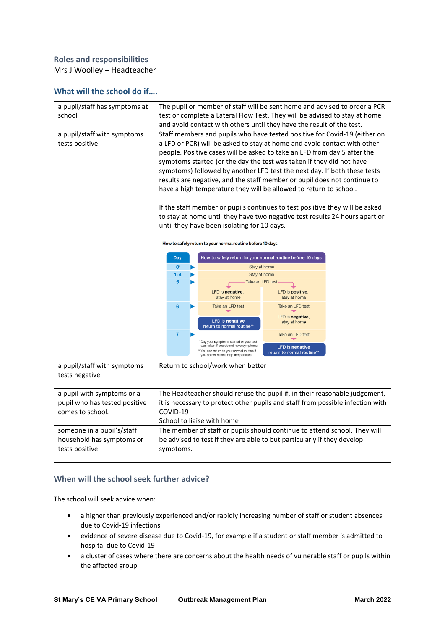## **Roles and responsibilities**

Mrs J Woolley – Headteacher

### **What will the school do if….**

| a pupil/staff has symptoms at<br>school                                         | The pupil or member of staff will be sent home and advised to order a PCR                                                                                                                                                                                                                                                                                                                                                                                                                                                                                                                                                                                                                             |                                                                                                                                                                   |                                                      |  |
|---------------------------------------------------------------------------------|-------------------------------------------------------------------------------------------------------------------------------------------------------------------------------------------------------------------------------------------------------------------------------------------------------------------------------------------------------------------------------------------------------------------------------------------------------------------------------------------------------------------------------------------------------------------------------------------------------------------------------------------------------------------------------------------------------|-------------------------------------------------------------------------------------------------------------------------------------------------------------------|------------------------------------------------------|--|
|                                                                                 | test or complete a Lateral Flow Test. They will be advised to stay at home<br>and avoid contact with others until they have the result of the test.                                                                                                                                                                                                                                                                                                                                                                                                                                                                                                                                                   |                                                                                                                                                                   |                                                      |  |
| a pupil/staff with symptoms<br>tests positive                                   | Staff members and pupils who have tested positive for Covid-19 (either on<br>a LFD or PCR) will be asked to stay at home and avoid contact with other<br>people. Positive cases will be asked to take an LFD from day 5 after the<br>symptoms started (or the day the test was taken if they did not have<br>symptoms) followed by another LFD test the next day. If both these tests<br>results are negative, and the staff member or pupil does not continue to<br>have a high temperature they will be allowed to return to school.<br>If the staff member or pupils continues to test posiitive they will be asked<br>to stay at home until they have two negative test results 24 hours apart or |                                                                                                                                                                   |                                                      |  |
|                                                                                 | until they have been isolating for 10 days.<br>How to safely return to your normal routine before 10 days                                                                                                                                                                                                                                                                                                                                                                                                                                                                                                                                                                                             |                                                                                                                                                                   |                                                      |  |
|                                                                                 | How to safely return to your normal routine before 10 days<br><b>Day</b>                                                                                                                                                                                                                                                                                                                                                                                                                                                                                                                                                                                                                              |                                                                                                                                                                   |                                                      |  |
|                                                                                 | $0*$                                                                                                                                                                                                                                                                                                                                                                                                                                                                                                                                                                                                                                                                                                  |                                                                                                                                                                   | Stay at home                                         |  |
|                                                                                 | $1 - 4$<br>5                                                                                                                                                                                                                                                                                                                                                                                                                                                                                                                                                                                                                                                                                          |                                                                                                                                                                   | Stay at home<br>Take an LFD test                     |  |
|                                                                                 |                                                                                                                                                                                                                                                                                                                                                                                                                                                                                                                                                                                                                                                                                                       | LFD is negative,<br>stay at home                                                                                                                                  | LFD is positive,<br>stay at home                     |  |
|                                                                                 | $6\phantom{a}$                                                                                                                                                                                                                                                                                                                                                                                                                                                                                                                                                                                                                                                                                        | Take an LFD test                                                                                                                                                  | Take an LFD test                                     |  |
|                                                                                 |                                                                                                                                                                                                                                                                                                                                                                                                                                                                                                                                                                                                                                                                                                       | <b>LFD</b> is negative<br>return to normal routine*'                                                                                                              | LFD is negative,<br>stay at home                     |  |
|                                                                                 | $\overline{7}$                                                                                                                                                                                                                                                                                                                                                                                                                                                                                                                                                                                                                                                                                        |                                                                                                                                                                   | Take an LFD test                                     |  |
|                                                                                 |                                                                                                                                                                                                                                                                                                                                                                                                                                                                                                                                                                                                                                                                                                       | Day your symptoms started or your test<br>was taken if you do not have symptoms<br>You can return to your normal routine if<br>you do not have a high temperature | <b>LFD</b> is negative<br>return to normal routine** |  |
| a pupil/staff with symptoms<br>tests negative                                   |                                                                                                                                                                                                                                                                                                                                                                                                                                                                                                                                                                                                                                                                                                       | Return to school/work when better                                                                                                                                 |                                                      |  |
| a pupil with symptoms or a<br>pupil who has tested positive<br>comes to school. | The Headteacher should refuse the pupil if, in their reasonable judgement,<br>it is necessary to protect other pupils and staff from possible infection with<br>COVID-19                                                                                                                                                                                                                                                                                                                                                                                                                                                                                                                              |                                                                                                                                                                   |                                                      |  |
|                                                                                 | School to liaise with home                                                                                                                                                                                                                                                                                                                                                                                                                                                                                                                                                                                                                                                                            |                                                                                                                                                                   |                                                      |  |
| someone in a pupil's/staff<br>household has symptoms or<br>tests positive       | The member of staff or pupils should continue to attend school. They will<br>be advised to test if they are able to but particularly if they develop<br>symptoms.                                                                                                                                                                                                                                                                                                                                                                                                                                                                                                                                     |                                                                                                                                                                   |                                                      |  |

## **When will the school seek further advice?**

The school will seek advice when:

- a higher than previously experienced and/or rapidly increasing number of staff or student absences due to Covid-19 infections
- evidence of severe disease due to Covid-19, for example if a student or staff member is admitted to hospital due to Covid-19
- a cluster of cases where there are concerns about the health needs of vulnerable staff or pupils within the affected group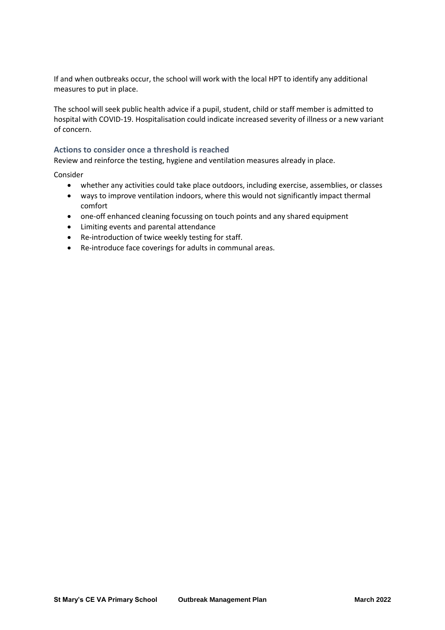If and when outbreaks occur, the school will work with the local HPT to identify any additional measures to put in place.

The school will seek public health advice if a pupil, student, child or staff member is admitted to hospital with COVID-19. Hospitalisation could indicate increased severity of illness or a new variant of concern.

### **Actions to consider once a threshold is reached**

Review and reinforce the testing, hygiene and ventilation measures already in place.

Consider

- whether any activities could take place outdoors, including exercise, assemblies, or classes
- ways to improve ventilation indoors, where this would not significantly impact thermal comfort
- one-off enhanced cleaning focussing on touch points and any shared equipment
- Limiting events and parental attendance
- Re-introduction of twice weekly testing for staff.
- Re-introduce face coverings for adults in communal areas.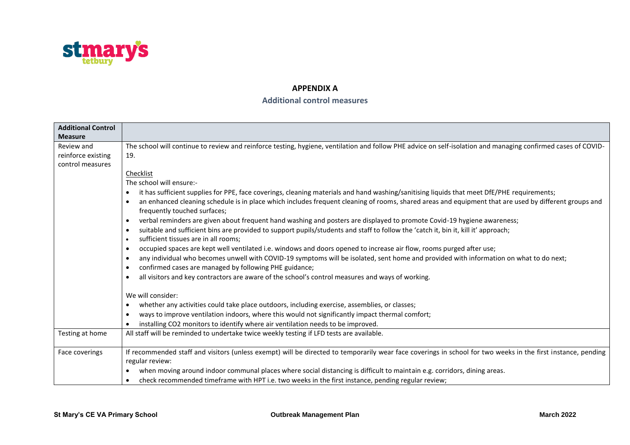

### **APPENDIX A**

## **Additional control measures**

| <b>Additional Control</b> |                                                                                                                                                                                                    |
|---------------------------|----------------------------------------------------------------------------------------------------------------------------------------------------------------------------------------------------|
| <b>Measure</b>            |                                                                                                                                                                                                    |
| Review and                | The school will continue to review and reinforce testing, hygiene, ventilation and follow PHE advice on self-isolation and managing confirmed cases of COVID-                                      |
| reinforce existing        | 19.                                                                                                                                                                                                |
| control measures          |                                                                                                                                                                                                    |
|                           | Checklist                                                                                                                                                                                          |
|                           | The school will ensure:-                                                                                                                                                                           |
|                           | it has sufficient supplies for PPE, face coverings, cleaning materials and hand washing/sanitising liquids that meet DfE/PHE requirements;<br>٠                                                    |
|                           | an enhanced cleaning schedule is in place which includes frequent cleaning of rooms, shared areas and equipment that are used by different groups and<br>$\bullet$<br>frequently touched surfaces; |
|                           | verbal reminders are given about frequent hand washing and posters are displayed to promote Covid-19 hygiene awareness;<br>$\bullet$                                                               |
|                           | suitable and sufficient bins are provided to support pupils/students and staff to follow the 'catch it, bin it, kill it' approach;<br>٠                                                            |
|                           | sufficient tissues are in all rooms:<br>$\bullet$                                                                                                                                                  |
|                           | occupied spaces are kept well ventilated i.e. windows and doors opened to increase air flow, rooms purged after use;<br>٠                                                                          |
|                           | any individual who becomes unwell with COVID-19 symptoms will be isolated, sent home and provided with information on what to do next;<br>٠                                                        |
|                           | confirmed cases are managed by following PHE guidance;<br>$\bullet$                                                                                                                                |
|                           | all visitors and key contractors are aware of the school's control measures and ways of working.<br>$\bullet$                                                                                      |
|                           | We will consider:                                                                                                                                                                                  |
|                           | whether any activities could take place outdoors, including exercise, assemblies, or classes;<br>$\bullet$                                                                                         |
|                           | ways to improve ventilation indoors, where this would not significantly impact thermal comfort;<br>$\bullet$                                                                                       |
|                           | installing CO2 monitors to identify where air ventilation needs to be improved.<br>$\bullet$                                                                                                       |
| Testing at home           | All staff will be reminded to undertake twice weekly testing if LFD tests are available.                                                                                                           |
| Face coverings            | If recommended staff and visitors (unless exempt) will be directed to temporarily wear face coverings in school for two weeks in the first instance, pending<br>regular review:                    |
|                           | when moving around indoor communal places where social distancing is difficult to maintain e.g. corridors, dining areas.<br>$\bullet$                                                              |
|                           | check recommended timeframe with HPT i.e. two weeks in the first instance, pending regular review;                                                                                                 |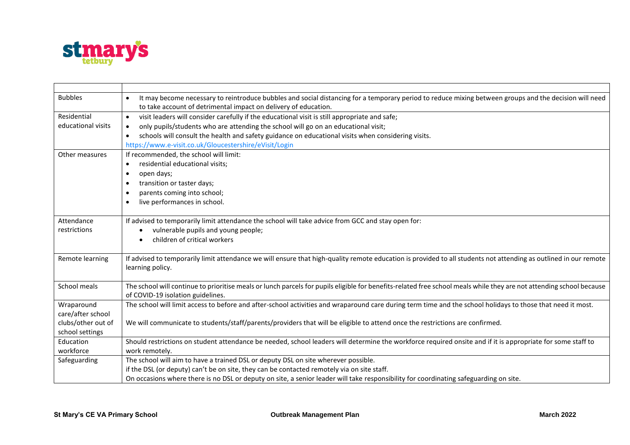

| <b>Bubbles</b>     | It may become necessary to reintroduce bubbles and social distancing for a temporary period to reduce mixing between groups and the decision will need               |
|--------------------|----------------------------------------------------------------------------------------------------------------------------------------------------------------------|
|                    | to take account of detrimental impact on delivery of education.                                                                                                      |
| Residential        | visit leaders will consider carefully if the educational visit is still appropriate and safe;<br>$\bullet$                                                           |
| educational visits | only pupils/students who are attending the school will go on an educational visit;<br>$\bullet$                                                                      |
|                    | schools will consult the health and safety guidance on educational visits when considering visits.<br>$\bullet$                                                      |
|                    | https://www.e-visit.co.uk/Gloucestershire/eVisit/Login                                                                                                               |
| Other measures     | If recommended, the school will limit:                                                                                                                               |
|                    | residential educational visits;<br>$\bullet$                                                                                                                         |
|                    | open days;<br>٠                                                                                                                                                      |
|                    | transition or taster days;<br>$\bullet$                                                                                                                              |
|                    | parents coming into school;                                                                                                                                          |
|                    | live performances in school.<br>$\bullet$                                                                                                                            |
|                    |                                                                                                                                                                      |
| Attendance         | If advised to temporarily limit attendance the school will take advice from GCC and stay open for:                                                                   |
| restrictions       | vulnerable pupils and young people;                                                                                                                                  |
|                    | children of critical workers                                                                                                                                         |
|                    |                                                                                                                                                                      |
| Remote learning    | If advised to temporarily limit attendance we will ensure that high-quality remote education is provided to all students not attending as outlined in our remote     |
|                    | learning policy.                                                                                                                                                     |
|                    |                                                                                                                                                                      |
| School meals       | The school will continue to prioritise meals or lunch parcels for pupils eligible for benefits-related free school meals while they are not attending school because |
|                    | of COVID-19 isolation guidelines.                                                                                                                                    |
| Wraparound         | The school will limit access to before and after-school activities and wraparound care during term time and the school holidays to those that need it most.          |
| care/after school  |                                                                                                                                                                      |
| clubs/other out of | We will communicate to students/staff/parents/providers that will be eligible to attend once the restrictions are confirmed.                                         |
| school settings    |                                                                                                                                                                      |
| Education          | Should restrictions on student attendance be needed, school leaders will determine the workforce required onsite and if it is appropriate for some staff to          |
| workforce          | work remotely.                                                                                                                                                       |
| Safeguarding       | The school will aim to have a trained DSL or deputy DSL on site wherever possible.                                                                                   |
|                    | if the DSL (or deputy) can't be on site, they can be contacted remotely via on site staff.                                                                           |
|                    | On occasions where there is no DSL or deputy on site, a senior leader will take responsibility for coordinating safeguarding on site.                                |